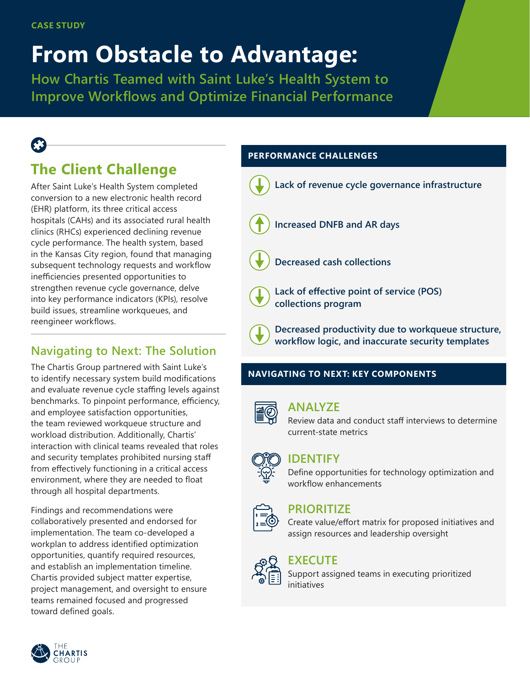# **From Obstacle to Advantage:**

**How Chartis Teamed with Saint Luke's Health System to Improve Workflows and Optimize Financial Performance**

# **The Client Challenge**

After Saint Luke's Health System completed conversion to a new electronic health record (EHR) platform, its three critical access hospitals (CAHs) and its associated rural health clinics (RHCs) experienced declining revenue cycle performance. The health system, based in the Kansas City region, found that managing subsequent technology requests and workflow inefficiencies presented opportunities to strengthen revenue cycle governance, delve into key performance indicators (KPIs), resolve build issues, streamline workqueues, and reengineer workflows.

# **Navigating to Next: The Solution**

The Chartis Group partnered with Saint Luke's to identify necessary system build modifications and evaluate revenue cycle staffing levels against benchmarks. To pinpoint performance, efficiency, and employee satisfaction opportunities, the team reviewed workqueue structure and workload distribution. Additionally, Chartis' interaction with clinical teams revealed that roles and security templates prohibited nursing staff from effectively functioning in a critical access environment, where they are needed to float through all hospital departments.

Findings and recommendations were collaboratively presented and endorsed for implementation. The team co-developed a workplan to address identified optimization opportunities, quantify required resources, and establish an implementation timeline. Chartis provided subject matter expertise, project management, and oversight to ensure teams remained focused and progressed toward defined goals.

## **PERFORMANCE CHALLENGES**



#### **NAVIGATING TO NEXT: KEY COMPONENTS**



#### **ANALYZE**

Review data and conduct staff interviews to determine current-state metrics



# **IDENTIFY**

Define opportunities for technology optimization and workflow enhancements



### **PRIORITIZE**

Create value/effort matrix for proposed initiatives and assign resources and leadership oversight



# **EXECUTE**

Support assigned teams in executing prioritized initiatives